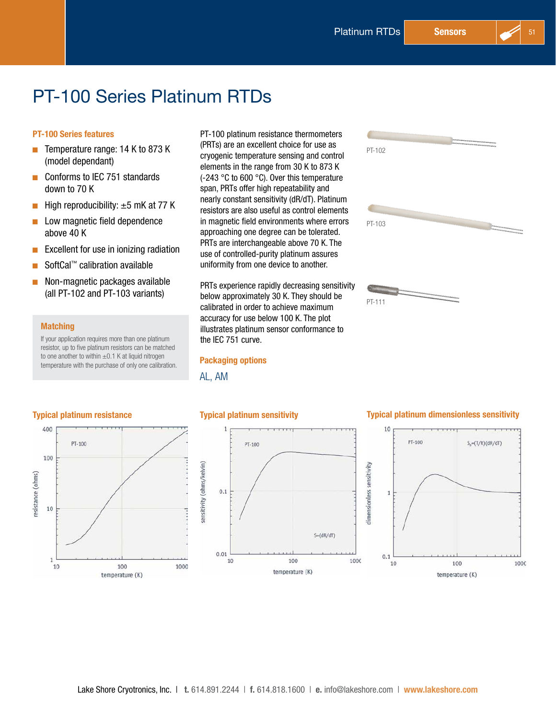# PT-100 Series Platinum RTDs

#### PT-100 Series features

- **D** Temperature range:  $14$  K to 873 K (model dependant)
- Conforms to IEC 751 standards down to 70 K
- **D** High reproducibility:  $\pm 5$  mK at 77 K
- $\blacksquare$  Low magnetic field dependence above 40 K
- $\blacksquare$  Excellent for use in ionizing radiation
- SoftCal™ calibration available
- $\blacksquare$  Non-magnetic packages available (all PT-102 and PT-103 variants)

#### **Matching**

If your application requires more than one platinum resistor, up to five platinum resistors can be matched to one another to within  $\pm 0.1$  K at liquid nitrogen temperature with the purchase of only one calibration. PT-100 platinum resistance thermometers (PRTs) are an excellent choice for use as cryogenic temperature sensing and control elements in the range from 30 K to 873 K (-243 °C to 600 °C). Over this temperature span, PRTs offer high repeatability and nearly constant sensitivity (dR/dT). Platinum resistors are also useful as control elements in magnetic field environments where errors approaching one degree can be tolerated. PRTs are interchangeable above 70 K. The use of controlled-purity platinum assures uniformity from one device to another.

PRTs experience rapidly decreasing sensitivity below approximately 30 K. They should be calibrated in order to achieve maximum accuracy for use below 100 K. The plot illustrates platinum sensor conformance to the IEC 751 curve.

#### Packaging options

AL, AM



#### Typical platinum resistance





#### Typical platinum sensitivity Typical platinum dimensionless sensitivity

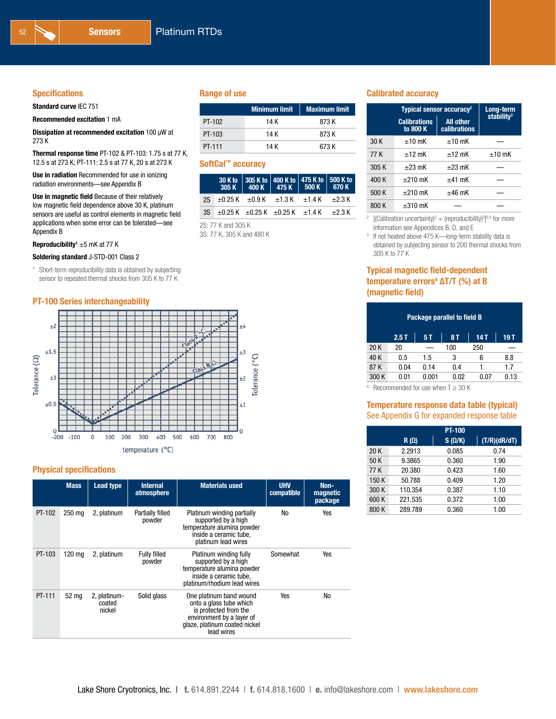#### **Specifications**

Standard curve IEC 751

Recommended excitation 1 mA

Dissipation at recommended excitation 100 µW at 273 K

Thermal response time PT-102 & PT-103: 1.75 s at 77 K, 12.5 s at 273 K; PT-111: 2.5 s at 77 K, 20 s at 273 K

Use in radiation Recommended for use in ionizing radiation environments—see Appendix B

Use in magnetic field Because of their relatively low magnetic field dependence above 30 K, platinum sensors are useful as control elements in magnetic field applications when some error can be tolerated—see Appendix B

**Reproducibility'** ±5 mK at 77 K

#### Soldering standard J-STD-001 Class 2

<sup>1</sup> Short-term reproducibility data is obtained by subjecting sensor to repeated thermal shocks from 305 K to 77 K

#### PT-100 Series interchangeability



#### Physical specifications

|        | <b>Mass</b> | Lead type                        | <b>Internal</b><br>atmosphere | <b>Materials used</b>                                                                                                                                   | <b>UHV</b><br>compatible | Non-<br>magnetic<br>package |
|--------|-------------|----------------------------------|-------------------------------|---------------------------------------------------------------------------------------------------------------------------------------------------------|--------------------------|-----------------------------|
| PT-102 | 250 mg      | 2, platinum                      | Partially filled<br>powder    | Platinum winding partially<br>supported by a high<br>temperature alumina powder<br>inside a ceramic tube.<br>platinum lead wires                        | No                       | Yes                         |
| PT-103 | 120 mg      | 2, platinum                      | <b>Fully filled</b><br>powder | Platinum winding fully<br>supported by a high<br>temperature alumina powder<br>inside a ceramic tube.<br>platinum/rhodium lead wires                    | Somewhat                 | Yes                         |
| PT-111 | 52 ma       | 2, platinum-<br>coated<br>nickel | Solid glass                   | One platinum band wound<br>onto a glass tube which<br>is protected from the<br>environment by a layer of<br>glaze, platinum coated nickel<br>lead wires | Yes                      | No                          |

#### Range of use

|        | <b>Minimum limit</b> | <b>Maximum limit</b> |
|--------|----------------------|----------------------|
| PT-102 | 14 K                 | 873 K                |
| PT-103 | 14 K                 | 873 K                |
| PT-111 | 14 K                 | 673 K                |

#### SoftCal™ accuracy

|                                                                   | 30 K to 305 K to 400 K to 475 K to 500 K to<br>305 K 400 K 475 K 500 K 670 K |  |  |
|-------------------------------------------------------------------|------------------------------------------------------------------------------|--|--|
| 2S $\pm$ 0.25 K $\pm$ 0.9 K $\pm$ 1.3 K $\pm$ 1.4 K $\pm$ 2.3 K   |                                                                              |  |  |
| 3S $\pm$ 0.25 K $\pm$ 0.25 K $\pm$ 0.25 K $\pm$ 1.4 K $\pm$ 2.3 K |                                                                              |  |  |
|                                                                   |                                                                              |  |  |

2S: 77 K and 305 K 3S: 77 K, 305 K and 480 K

#### Calibrated accuracy

|       | Typical sensor accuracy <sup>2</sup> |                                  |                        |  |  |
|-------|--------------------------------------|----------------------------------|------------------------|--|--|
|       | <b>Calibrations</b><br>to 800 K      | <b>All other</b><br>calibrations | stability <sup>3</sup> |  |  |
| 30 K  | $+10$ mK                             | $+10$ mK                         |                        |  |  |
| 77 K  | $+12$ mK                             | $+12$ mK                         | $±10$ mK               |  |  |
| 305K  | $\pm 23$ mK                          | $+23$ mK                         |                        |  |  |
| 400 K | $+210$ mK                            | $+41$ mK                         |                        |  |  |
| 500 K | $+210$ mK                            | $±46$ mK                         |                        |  |  |
| 800 K | $\pm 310$ mK                         |                                  |                        |  |  |

<sup>2</sup> [(Calibration uncertainty)<sup>2</sup> + (reproducibility)<sup>2</sup>]<sup>0.5</sup> for more information see Appendices B, D, and E

<sup>3</sup> If not heated above 475 K—long-term stability data is obtained by subjecting sensor to 200 thermal shocks from 305 K to 77 K

#### Typical magnetic field-dependent temperature errors<sup>4</sup> ΔT/T (%) at B (magnetic field)

| Package parallel to field B |       |           |      |      |  |  |
|-----------------------------|-------|-----------|------|------|--|--|
| 2.5T                        | 5 T   | <b>8T</b> | 14 T | 19 T |  |  |
| 20                          |       | 100       | 250  |      |  |  |
| 0.5                         | 1.5   | 3         | 6    | 8.8  |  |  |
| 0.04                        | 0.14  | 0.4       |      | 1.7  |  |  |
| 0.01                        | 0.001 | 0.02      | 0.07 | 0.13 |  |  |
|                             |       |           |      |      |  |  |

 $4$  Recommended for use when T  $\geq$  30 K

#### Temperature response data table (typical) See Appendix G for expanded response table

|       |             | <b>PT-100</b> |              |
|-------|-------------|---------------|--------------|
|       | $R(\Omega)$ | $S(\Omega/K)$ | (T/R)(dR/dT) |
| 20K   | 2.2913      | 0.085         | 0.74         |
| 50 K  | 9.3865      | 0.360         | 1.90         |
| 77 K  | 20.380      | 0.423         | 1.60         |
| 150 K | 50.788      | 0.409         | 1.20         |
| 300 K | 110.354     | 0.387         | 1.10         |
| 600 K | 221.535     | 0.372         | 1.00         |
| 800 K | 289.789     | 0.360         | 1.00         |